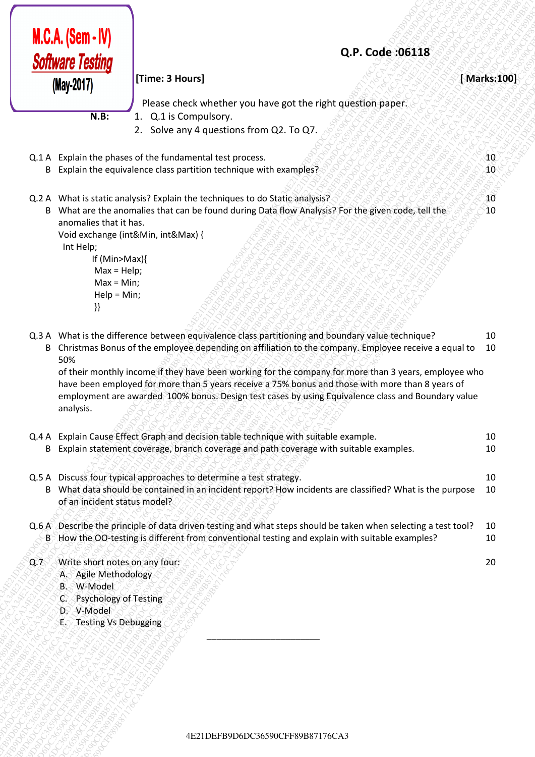|     | $M.C.A.$ (Sem - IV)<br><b>Software Testing</b>                                                                                               | Q.P. Code:06118                                                                                                                                                                                                                                                                                                                                                                                                                                                                                                                |                   |
|-----|----------------------------------------------------------------------------------------------------------------------------------------------|--------------------------------------------------------------------------------------------------------------------------------------------------------------------------------------------------------------------------------------------------------------------------------------------------------------------------------------------------------------------------------------------------------------------------------------------------------------------------------------------------------------------------------|-------------------|
|     | (May-2017)                                                                                                                                   | [Time: 3 Hours]                                                                                                                                                                                                                                                                                                                                                                                                                                                                                                                | [Marks:100]       |
|     |                                                                                                                                              | Please check whether you have got the right question paper.                                                                                                                                                                                                                                                                                                                                                                                                                                                                    |                   |
|     | $N.B$ :                                                                                                                                      | 1. Q.1 is Compulsory.<br>2. Solve any 4 questions from Q2. To Q7.                                                                                                                                                                                                                                                                                                                                                                                                                                                              |                   |
|     |                                                                                                                                              | Q.1 A Explain the phases of the fundamental test process.<br>B Explain the equivalence class partition technique with examples?                                                                                                                                                                                                                                                                                                                                                                                                | 40<br>$_{\rm 40}$ |
|     | anomalies that it has.<br>Int Help;<br>If (Min>Max){<br>$Max = Help;$<br>$Max = Min;$<br>$Help = Min;$<br>}}                                 | Q.2 A What is static analysis? Explain the techniques to do Static analysis?<br>B What are the anomalies that can be found during Data flow Analysis? For the given code, tell the<br>Void exchange (int&Min, int&Max) {                                                                                                                                                                                                                                                                                                       | 10<br>10          |
|     | 50%<br>analysis.                                                                                                                             | Q.3 A What is the difference between equivalence class partitioning and boundary value technique?<br>B Christmas Bonus of the employee depending on affiliation to the company. Employee receive a equal to<br>of their monthly income if they have been working for the company for more than 3 years, employee who<br>have been employed for more than 5 years receive a 75% bonus and those with more than 8 years of<br>employment are awarded 100% bonus. Design test cases by using Equivalence class and Boundary value | 10<br>10          |
|     |                                                                                                                                              | Q.4 A Explain Cause Effect Graph and decision table technique with suitable example.<br>B Explain statement coverage, branch coverage and path coverage with suitable examples.                                                                                                                                                                                                                                                                                                                                                | 10<br>10          |
|     | of an incident status model?                                                                                                                 | Q.5 A Discuss four typical approaches to determine a test strategy.<br>B What data should be contained in an incident report? How incidents are classified? What is the purpose                                                                                                                                                                                                                                                                                                                                                | 10<br>10          |
|     |                                                                                                                                              | Q.6 A Describe the principle of data driven testing and what steps should be taken when selecting a test tool?<br>B How the OO-testing is different from conventional testing and explain with suitable examples?                                                                                                                                                                                                                                                                                                              | 10<br>10          |
| Q.7 | Write short notes on any four:<br>A. Agile Methodology<br>B. W-Model<br>Psychology of Testing<br>C.<br>D. V-Model<br>E. Testing Vs Debugging |                                                                                                                                                                                                                                                                                                                                                                                                                                                                                                                                | 20                |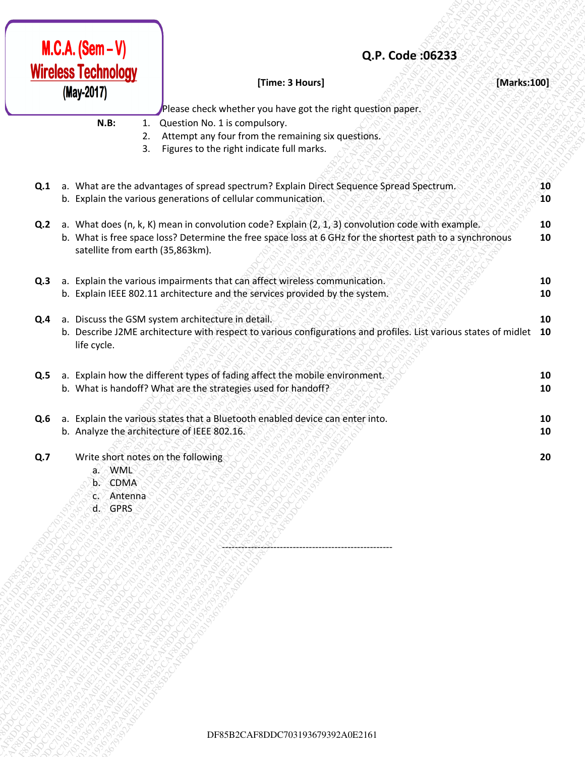| <b>Wireless Technology</b><br>[Time: 3 Hours]<br>[Marks:100]<br>(May-2017)<br>Please check whether you have got the right question paper.<br>N.B:<br>1. Question No. 1 is compulsory.<br>Attempt any four from the remaining six questions.<br>2.<br>Figures to the right indicate full marks.<br>3.<br>a. What are the advantages of spread spectrum? Explain Direct Sequence Spread Spectrum.<br>Q.1<br>10<br>10<br>b. Explain the various generations of cellular communication.<br>a. What does (n, k, K) mean in convolution code? Explain (2, 1, 3) convolution code with example.<br>Q.2<br>10<br>b. What is free space loss? Determine the free space loss at 6 GHz for the shortest path to a synchronous<br>10<br>satellite from earth (35,863km).<br>a. Explain the various impairments that can affect wireless communication.<br>Q.3<br>10<br>b. Explain IEEE 802.11 architecture and the services provided by the system.<br>10<br>a. Discuss the GSM system architecture in detail.<br>Q.4<br>10<br>b. Describe J2ME architecture with respect to various configurations and profiles. List various states of midlet 10<br>life cycle.<br>a. Explain how the different types of fading affect the mobile environment.<br>Q.5<br>10<br>b. What is handoff? What are the strategies used for handoff?<br>10<br>a. Explain the various states that a Bluetooth enabled device can enter into.<br>Q.6<br>10<br>b. Analyze the architecture of IEEE 802.16.<br>10<br>Write short notes on the following<br>Q.7<br>20<br>a. WML<br>b. CDMA<br>c. Antenna<br>d. GPRS | $M.C.A. (Sem - V)$ | Q.P. Code: 06233                 |  |
|------------------------------------------------------------------------------------------------------------------------------------------------------------------------------------------------------------------------------------------------------------------------------------------------------------------------------------------------------------------------------------------------------------------------------------------------------------------------------------------------------------------------------------------------------------------------------------------------------------------------------------------------------------------------------------------------------------------------------------------------------------------------------------------------------------------------------------------------------------------------------------------------------------------------------------------------------------------------------------------------------------------------------------------------------------------------------------------------------------------------------------------------------------------------------------------------------------------------------------------------------------------------------------------------------------------------------------------------------------------------------------------------------------------------------------------------------------------------------------------------------------------------------------------------------------------------------|--------------------|----------------------------------|--|
|                                                                                                                                                                                                                                                                                                                                                                                                                                                                                                                                                                                                                                                                                                                                                                                                                                                                                                                                                                                                                                                                                                                                                                                                                                                                                                                                                                                                                                                                                                                                                                              |                    |                                  |  |
|                                                                                                                                                                                                                                                                                                                                                                                                                                                                                                                                                                                                                                                                                                                                                                                                                                                                                                                                                                                                                                                                                                                                                                                                                                                                                                                                                                                                                                                                                                                                                                              |                    |                                  |  |
|                                                                                                                                                                                                                                                                                                                                                                                                                                                                                                                                                                                                                                                                                                                                                                                                                                                                                                                                                                                                                                                                                                                                                                                                                                                                                                                                                                                                                                                                                                                                                                              |                    |                                  |  |
|                                                                                                                                                                                                                                                                                                                                                                                                                                                                                                                                                                                                                                                                                                                                                                                                                                                                                                                                                                                                                                                                                                                                                                                                                                                                                                                                                                                                                                                                                                                                                                              |                    |                                  |  |
|                                                                                                                                                                                                                                                                                                                                                                                                                                                                                                                                                                                                                                                                                                                                                                                                                                                                                                                                                                                                                                                                                                                                                                                                                                                                                                                                                                                                                                                                                                                                                                              |                    |                                  |  |
|                                                                                                                                                                                                                                                                                                                                                                                                                                                                                                                                                                                                                                                                                                                                                                                                                                                                                                                                                                                                                                                                                                                                                                                                                                                                                                                                                                                                                                                                                                                                                                              |                    |                                  |  |
|                                                                                                                                                                                                                                                                                                                                                                                                                                                                                                                                                                                                                                                                                                                                                                                                                                                                                                                                                                                                                                                                                                                                                                                                                                                                                                                                                                                                                                                                                                                                                                              |                    |                                  |  |
|                                                                                                                                                                                                                                                                                                                                                                                                                                                                                                                                                                                                                                                                                                                                                                                                                                                                                                                                                                                                                                                                                                                                                                                                                                                                                                                                                                                                                                                                                                                                                                              |                    |                                  |  |
|                                                                                                                                                                                                                                                                                                                                                                                                                                                                                                                                                                                                                                                                                                                                                                                                                                                                                                                                                                                                                                                                                                                                                                                                                                                                                                                                                                                                                                                                                                                                                                              |                    |                                  |  |
|                                                                                                                                                                                                                                                                                                                                                                                                                                                                                                                                                                                                                                                                                                                                                                                                                                                                                                                                                                                                                                                                                                                                                                                                                                                                                                                                                                                                                                                                                                                                                                              |                    |                                  |  |
|                                                                                                                                                                                                                                                                                                                                                                                                                                                                                                                                                                                                                                                                                                                                                                                                                                                                                                                                                                                                                                                                                                                                                                                                                                                                                                                                                                                                                                                                                                                                                                              |                    |                                  |  |
|                                                                                                                                                                                                                                                                                                                                                                                                                                                                                                                                                                                                                                                                                                                                                                                                                                                                                                                                                                                                                                                                                                                                                                                                                                                                                                                                                                                                                                                                                                                                                                              |                    |                                  |  |
|                                                                                                                                                                                                                                                                                                                                                                                                                                                                                                                                                                                                                                                                                                                                                                                                                                                                                                                                                                                                                                                                                                                                                                                                                                                                                                                                                                                                                                                                                                                                                                              |                    |                                  |  |
|                                                                                                                                                                                                                                                                                                                                                                                                                                                                                                                                                                                                                                                                                                                                                                                                                                                                                                                                                                                                                                                                                                                                                                                                                                                                                                                                                                                                                                                                                                                                                                              |                    |                                  |  |
|                                                                                                                                                                                                                                                                                                                                                                                                                                                                                                                                                                                                                                                                                                                                                                                                                                                                                                                                                                                                                                                                                                                                                                                                                                                                                                                                                                                                                                                                                                                                                                              |                    |                                  |  |
|                                                                                                                                                                                                                                                                                                                                                                                                                                                                                                                                                                                                                                                                                                                                                                                                                                                                                                                                                                                                                                                                                                                                                                                                                                                                                                                                                                                                                                                                                                                                                                              |                    |                                  |  |
|                                                                                                                                                                                                                                                                                                                                                                                                                                                                                                                                                                                                                                                                                                                                                                                                                                                                                                                                                                                                                                                                                                                                                                                                                                                                                                                                                                                                                                                                                                                                                                              |                    |                                  |  |
|                                                                                                                                                                                                                                                                                                                                                                                                                                                                                                                                                                                                                                                                                                                                                                                                                                                                                                                                                                                                                                                                                                                                                                                                                                                                                                                                                                                                                                                                                                                                                                              |                    |                                  |  |
|                                                                                                                                                                                                                                                                                                                                                                                                                                                                                                                                                                                                                                                                                                                                                                                                                                                                                                                                                                                                                                                                                                                                                                                                                                                                                                                                                                                                                                                                                                                                                                              |                    |                                  |  |
|                                                                                                                                                                                                                                                                                                                                                                                                                                                                                                                                                                                                                                                                                                                                                                                                                                                                                                                                                                                                                                                                                                                                                                                                                                                                                                                                                                                                                                                                                                                                                                              |                    |                                  |  |
|                                                                                                                                                                                                                                                                                                                                                                                                                                                                                                                                                                                                                                                                                                                                                                                                                                                                                                                                                                                                                                                                                                                                                                                                                                                                                                                                                                                                                                                                                                                                                                              |                    |                                  |  |
|                                                                                                                                                                                                                                                                                                                                                                                                                                                                                                                                                                                                                                                                                                                                                                                                                                                                                                                                                                                                                                                                                                                                                                                                                                                                                                                                                                                                                                                                                                                                                                              |                    |                                  |  |
|                                                                                                                                                                                                                                                                                                                                                                                                                                                                                                                                                                                                                                                                                                                                                                                                                                                                                                                                                                                                                                                                                                                                                                                                                                                                                                                                                                                                                                                                                                                                                                              |                    |                                  |  |
|                                                                                                                                                                                                                                                                                                                                                                                                                                                                                                                                                                                                                                                                                                                                                                                                                                                                                                                                                                                                                                                                                                                                                                                                                                                                                                                                                                                                                                                                                                                                                                              |                    | DF85B2CAF8DDC703193679392A0E2161 |  |
|                                                                                                                                                                                                                                                                                                                                                                                                                                                                                                                                                                                                                                                                                                                                                                                                                                                                                                                                                                                                                                                                                                                                                                                                                                                                                                                                                                                                                                                                                                                                                                              |                    |                                  |  |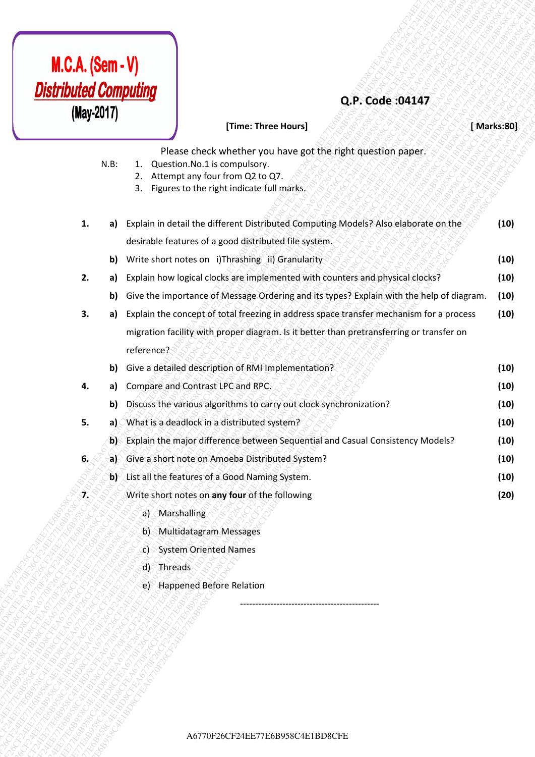

## **Q.P. Code :04147**

# **MCA. (Sem - V)**<br> **(Marks)**<br> **CF24EE77E6FEA678C4EE8770F26FEA6770F26FEA6770F26FEA6770F26FEA6770F26FEA6770F26FEA6770F26FEA6770F26CF24EE77CF24EF77CF24EF77CF8FF24EE77CF24EF77CF24EF77CF24EF77CF24EF77CF24EF77CF24EF77CF24EF77CF24 M.C.A. (Sem - V)**<br> **CF:**<br> **CF:**<br> **CF:**<br> **CF:**<br> **CF:**<br> **CF:**<br> **CF:**<br> **CF:**<br> **CF:**<br> **CF:**<br> **CF:**<br> **CF:**<br> **CF:**<br> **CF:**<br> **CF:**<br> **CF:**<br> **CF:**<br> **CF:**<br> **CF:**<br> **CF:**<br> **CF:**<br> **CF:**<br> **CF:**<br> **CF:**<br> **CF:**<br> **CF:**<br> **CF:**<br> **CF:**<br> **CF: M.C.A. (Sem -V)**<br> **Constrained construction and the matter interaction and the set of the set of the set of the set of the set of the set of the set of the set of the set of the set of the set of the set of the set of th M.C.A. (Sem . V)**<br> **Obstrained Computing**<br> **CERE**<br> **CERE**<br> **CERE**<br> **CERE**<br> **CERE**<br> **CERE**<br> **CERE**<br> **CERE**<br> **CERE**<br> **CERE**<br> **CEREEFR**<br> **CEREEFRE**<br> **CEREEFRE**<br> **CEREEFREE CONTINUE CONTINUE PROTOCOLY (ASSESS) Applies where** A6770F26CF24EE77E6B958C4E1BD8CFEA6770F26CF24EE77E6B958C4E1BD8CFEA6770F26CF24EE77E6B958C4E1BD8CFEA6770F26CF24EE77E6B958C4E1BD8CFEA6770F26CF24EE77E6B958C4E1BD8CFEA6770F26CF24EE77E6B958C4E1BD8CFE **M.C.A. (Sem. v)**<br> **Constrained Computer** (**Associated Activity of the semanting of the semanting of the semanting of the semanting constrained Computer (1978)<br>
Fig. 2. A register to the self-red Distribution of the seman AGERT-V**<br> **ABSENCACE COMPOSITION**<br> **AFFIRE A CONSULTER CONSULTER CONSULTER CONSULTER CONSULTER CONSULTER CONSULTER CONSULTER CONSULTER CONSULTER CONSULTER CONSULTER CONSULTER CONSULTER CONSULTER CONSULTER CONSULTER CONSU M.C.A. (Sem. -V)**<br> **Distribution Connective Connective Connective Connective Connective Connective Connective Connective Connective Connective Connective Connective Connective Connective Connective Connective Connective M.C.A. (Sem. -V)**<br> **Distribution Connective Connective Connective Connective Connective Connective Connective Connective Connective Connective Connective Connective Connective Connective Connective Connective Connective M.C.A. (Sem. -V)**<br> **Distribution Connective Connective Connective Connective Connective Connective Connective Connective Connective Connective Connective Connective Connective Connective Connective Connective Connective M.C.A. (Sem. -V)**<br> **Distribution Connective Connective Connective Connective Connective Connective Connective Connective Connective Connective Connective Connective Connective Connective Connective Connective Connective M.C.A. (Sem. -V)**<br> **CF26CF24EE77**<br> **CF26CF24EE77**<br> **CF26CF24EE77**<br> **CF26CFEA678CFEA6770F26CFEA6770F26CFEA6770F26CFEA6770F26CFEA6770F26CFEA6770F26CFEA6770F26CFEA6770F26CFEA6770F26CFEA6770F26CFEA6770F26CFEA6770F26CFEA6770F M.C.A. (Sem. - V)**<br> **Conservation**<br> **Conservation**<br> **Conservation**<br> **Conservation**<br> **Conservation**<br> **Conservation**<br> **Conservation**<br> **Conservation**<br> **Conservation**<br> **Conservation**<br> **Conservation**<br> **Conservation**<br> **Conserv M.C.A. (Sem - V)**<br> **Desire Conservantes controllers** controllers and the supplementation controllers and the conservant of the conservation of the conservation of the conservation of the conservation of the conservation **M.C.A. (Sema-V)**<br> **CF24E COMPUTING**<br> **CF24E COMPUTING**<br> **CF24E COMPUTING**<br> **CF24E COMPUTING**<br> **CF24E COMPUTING**<br> **CF24E COMPUTING**<br> **CF24E COMPUTING COMPUTING CONFIDENCIAL CONFIDENCIAL CONFIDENCIAL CONFIDENCIAL CONFIDENC M.C.A. (Sem - V)**<br> **CREATER COMPUTING**<br> **CREATER CONTINUES (SPECIES)**<br> **CREATER CONTINUES (SPECIES)**<br> **CREATER CONTINUES (SPECIES)**<br> **CREATER CONTINUES (SPECIES)**<br> **CREATER CONTINUES (SPECIES)**<br> **CREATER CONTINUES (SPECI CF24. (Semi-V)**<br> **CF28**<br> **CF28CF24EF7**<br> **CF28CF24EF7**<br> **CF28CFEA6770F26CFEA6770F26CFEA6770F26CFEA6770F26CFEA6770F26CFEA6770F26CFEA6770F26CFEA6770F26CFEA6770F26CFEA6770F26CFEA6770F26CFEA6770F26CFEA6770F26CFEA6770F26CFEA67 CF24. (Sem - V)**<br> **CF26. Code:** 304.37<br> **CF26. CF26. CF26. CF26. CF26. CF26. CF26. CF26. CF26. CF26. CF26. CF26. CF26. CF26. CF26. CF26. CF26. CF26. CF26. CF26. CF26. CF26. CF2 CF24. (Seman - V)**<br> **CF24** Control Computing<br>
(May 2017)<br>
NR 3. The cost to change the cost there have been served to control control of the cost of the cost of the cost of the cost of the cost of the cost of the cost of **A67.** (Sem - V)<br> **Constrained Computing**<br> **CARF Constrained Constrained Constrained Constrained Constrained Constrained Constrained Constrained Constrained Constrained Constrained Constrained Constrained Constrained Const [Time: Three Hours]** *<b>EXARET AND ARRIVE STATE STATE* **[Marks:80]** Please check whether you have got the right question paper. N.B: 1. Question.No.1 is compulsory. 2. Attempt any four from Q2 to Q7. 3. Figures to the right indicate full marks. **1. a)** Explain in detail the different Distributed Computing Models? Also elaborate on the desirable features of a good distributed file system. **(10) b)** Write short notes on i)Thrashing ii) Granularity **10**  $\mathcal{S} \otimes \mathcal{S} \otimes \mathcal{S}$ **2. a)** Explain how logical clocks are implemented with counters and physical clocks? **(10) b)** Give the importance of Message Ordering and its types? Explain with the help of diagram. **(10) 3. a)** Explain the concept of total freezing in address space transfer mechanism for a process migration facility with proper diagram. Is it better than pretransferring or transfer on reference? **(10) b)** Give a detailed description of RMI Implementation? **(10) 4. a)** Compare and Contrast LPC and RPC. **And APC. (10) (10) b)** Discuss the various algorithms to carry out clock synchronization? **(10) 5. a)** What is a deadlock in a distributed system? **(10) b)** Explain the major difference between Sequential and Casual Consistency Models? **(10) 6. a)** Give a short note on Amoeba Distributed System? **(10) b)** List all the features of a Good Naming System. **(10) 7.** Write short notes on **any four** of the following a) Marshalling b) Multidatagram Messages c) System Oriented Names **(20)**

- d) Threads
- e) Happened Before Relation

----------------------------------------------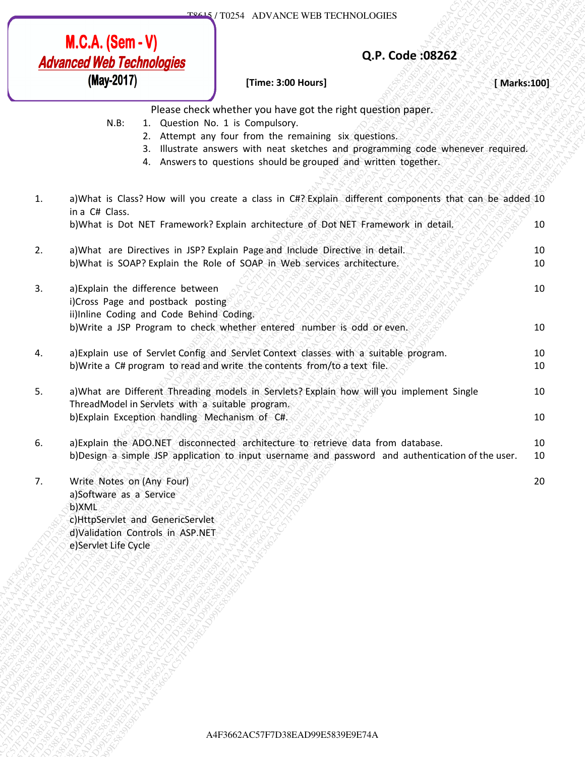### **Q.P. Code :08262**

### **[Time: 3:00 Hours]** *BERTHER* **AMarks:100]**

10

20

Please check whether you have got the right question paper.

- N.B: 1. Question No. 1 is Compulsory.
	- 2. Attempt any four from the remaining six questions.
	- 3. Illustrate answers with neat sketches and programming code whenever required.
	- 4. Answers to questions should be grouped and written together.
- 1. a)What is Class? How will you create a class in C#? Explain different components that can be added 10 in a C# Class. b)What is Dot NET Framework? Explain architecture of Dot NET Framework in detail. 10
- 2. a)What are Directives in JSP? Explain Page and Include Directive in detail. b)What is SOAP? Explain the Role of SOAP in Web services architecture. 10 10 10
- **M.C.A. (Sem V)**<br> **Advanced Web Technologies**<br>
(**Nay Technologies**)<br> **CRE L.** Consists when the 19 consistent was a specifically consistent and the figure and the specifical consistent and the specifical consistent an **MCA. (Sem - V)**<br> **Advanced High Dreftshages**<br>
(**Nay-2011)**<br> **CFP. Code: 08262**<br>
(**Nay-2011)**<br> **EXERCISE CONSERVATE DEFINE THE EXERCISE CONSERVATE PROPERTIES**<br>
4. E. A consider a countrier provides parameters are spectrum **M3.C.A.** (Sem - V)<br> **Advanced Web Technicologies**<br> **CM-3689**<br> **CM-3689**<br> **CM-3689**<br> **EXERCISE CONSULS (THE SUBSIDING)**<br> **EXERCISE THE SUBSIDING CONSULS (THE SUBSIDING)**<br> **EXERCISE ACTION CONSULS (THE SUBSIDING)**<br> **EXERCI A4786787F703**<br> **Advanced Web Technologies**<br> **A478678628E882**<br> **A478678628E9E74A**<br> **A478767**<br> **EXAA4F3662**<br> **EXAA4F3662**<br> **EXAA4F3662**<br> **EXAA4F3662**<br> **EXAA4F3662**<br> **EXAA4F3662**<br> **EXAA4F3662**<br> **EXAA4F3662**<br> **EXAA4F3662**<br> **ALCA. (Sem. -V)**<br> **Advanced Web Technologies**<br> **(Nav 2017)**<br> **Conservation**<br> **Conservation**<br> **Conservation**<br> **Conservation**<br> **Conservation**<br> **Conservation**<br> **Conservation**<br> **Conservation**<br> **Conservation**<br> **Conservation**<br> **A6. A6. (Som - V)**<br> **Advanced Web Technologies**<br>
(Nay-2847)<br> **A47866282**<br>
(Nay-2847)<br> **A478662AC57F7D38EAC67F7D38EAC67F7D38EAC67F7D38EAC57F7D38EAC57F7D38EAC57F7D38EAC57F7D38EAC57F7D38EAC57F7D38EAC57F7D38EAC57F7D38EAC57F7 A6. A (Sem - V)**<br> **Advanced Web Technologies**<br>
(Way2HT)<br> **Advanced Web Technologies**<br>
(Way2HT)<br>
<br>
SHE THOM THE TREATEVE ARE THE TREATEVE ARE THE TREATEVE ARE THE TREATEVE ARE THE TREATEVE ACTION CONTROL THE CONTROL THE C **A6. A (Sem - V)**<br> **Advanced Web Technologies**<br>
(Way2HT)<br> **Advanced Web Technologies**<br>
(Way2HT)<br>
<br>
SHE THOM THE TREATEVE ARE THE TREATEVE ARE THE TREATEVE ARE THE TREATEVE ARE THE TREATEVE ACTION CONTROL THE CONTROL THE C **A6. A (Sem - V)**<br> **Advanced Web Technologies**<br>
(Way2HT)<br> **Advanced Web Technologies**<br>
(Way2HT)<br>
<br>
SHE THOM THE TREATEVE ARE THE TREATEVE ARE THE TREATEVE ARE THE TREATEVE ARE THE TREATEVE ACTION CONTROL THE CONTROL THE C **A6. A (Sem - V)**<br> **Advanced Web Technologies**<br>
(Way2HT)<br> **Advanced Web Technologies**<br>
(Way2HT)<br>
<br>
SHE THOM THE TREATEVE ARE THE TREATEVE ARE THE TREATEVE ARE THE TREATEVE ARE THE TREATEVE ACTION CONTROL THE CONTROL THE C **A6. A (Sem - V)**<br> **Advanced Web Technologies**<br>
(Way2HT)<br> **Advanced Web Technologies**<br>
(Way2HT)<br>
<br>
SHE THOM THE TREATEVE ARE THE TREATEVE ARE THE TREATEVE ARE THE TREATEVE ARE THE TREATEVE ACTION CONTROL THE CONTROL THE C **A6. A (Sem - V)**<br> **Advanced Web Technologies**<br>
(Way2HT)<br> **Advanced Web Technologies**<br>
(Way2HT)<br>
<br>
SHE THOM THE TREATEVE ARE THE TREATEVE ARE THE TREATEVE ARE THE TREATEVE ARE THE TREATEVE ACTION CONTROL THE CONTROL THE C **A6. A (Sem - V)**<br> **Advanced Web Technologies**<br>
(Way2HT)<br> **Advanced Web Technologies**<br>
(Way2HT)<br>
<br>
SHE THOM THE TREATEVE ARE THE TREATEVE ARE THE TREATEVE ARE THE TREATEVE ARE THE TREATEVE ACTION CONTROL THE CONTROL THE C **A6SACS89F7-V7D38EAD99E742A34F3662AC57F7D38EAC57F7D38EF74AA4F367F7D38EF74AA4F367F7D38EF73AA4F367F7D38E34F7D38EAC57F7D38EAC57F7D38E34F74AA4F367F7D38E34F74A4F367F7D38E34F74A4F367F7D38E34F74A4F367F7D38EA4F3662AC57F7D38EA2F34** A4F3662AC57F7D38EAD99E5839E9E74AA4F3662AC57F7D38EAD99E5839E9E74AA4F3662AC57F7D38EAD99E5839E9E74AA4F3662AC57F7D38EAD99E5839E9E74AA4F3662AC57F7D38EAD99E5839E9E74AA4F3662AC57F7D38EAD99E5839E9E74A **A6. A. (Sem - V)**<br> **Advanced Web Technologies**<br>
(May 2011)<br> **A**<sub>x</sub> France the Act whether you have gone that consider a semi-value of the consideration of a semi-value of the act of the act of the act of the act of the a **ALCA. (Sem - V)**<br> **Advanced Web Technologies**<br>
(Nay-2011)<br>
IF The a state of control web also the english capacity (The control was a state of the english capacity (Nakatsia)<br>
IF The control was not a strongenery control **ACACS8661-V.**<br> **Advanced Web Tachnologies**<br> **Advanced Web Tachnologies**<br> **EVALUATION**<br>
RASE CONSIDER TO THE TRANSPARE CONSIDER THE CONSIDER TOWARD (THE TRANSPARE CONSIDER THE TRANSPARE CONSIDER A SAMELY AND THE TRANSPARE **MCA. (Sem-V)**<br> **Advanced Web Technologies**<br> **A4ranced Web Technologies**<br>
Name and the construction (see action and the construction and the state of the state of the state of the state of the state of the state of the st **A6.A. (Sem - V)**<br> **Advanced Web Technologies**<br> **Advanced Web Technologies**<br>
Three stock where produced we produce the right question paper.<br>
19. 3. 4 GMS and the state where the right question paper.<br>
2. *Surveys septemb* 3. a)Explain the difference between i)Cross Page and postback posting ii)Inline Coding and Code Behind Coding. b)Write a JSP Program to check whether entered number is odd or even.
	- 4. a)Explain use of Servlet Config and Servlet Context classes with a suitable program. b)Write a C# program to read and write the contents from/to a text file. 10 10
	- 5. a)What are Different Threading models in Servlets? Explain how will you implement Single ThreadModel in Servlets with a suitable program. b)Explain Exception handling Mechanism of C#. 10 10
	- 6. a)Explain the ADO.NET disconnected architecture to retrieve data from database. b)Design a simple JSP application to input username and password and authentication of the user. 10 10
	- 7. Write Notes on (Any Four) a)Software as a Service b)XML c)HttpServlet and GenericServlet d)Validation Controls in ASP.NET e)Servlet Life Cycle